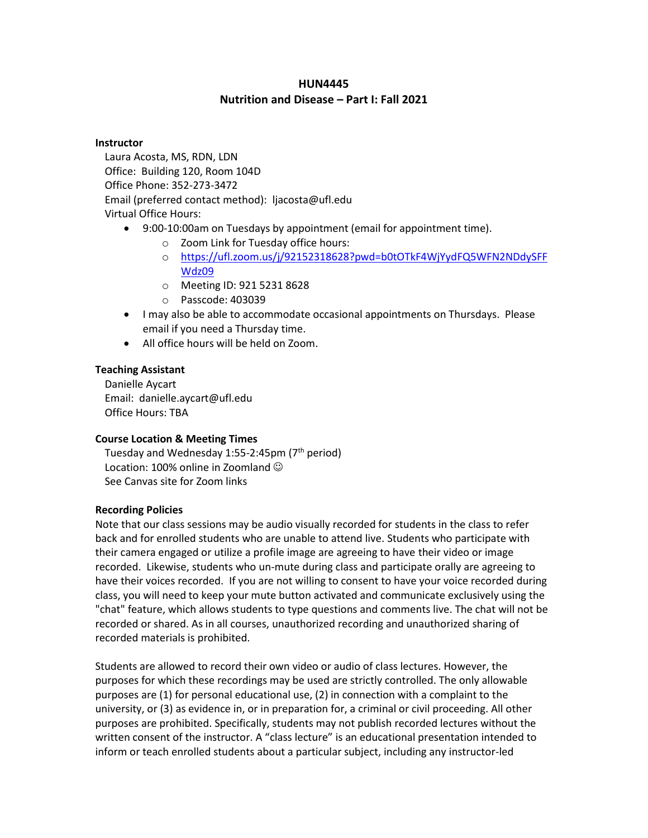## **HUN4445 Nutrition and Disease – Part I: Fall 2021**

#### **Instructor**

Laura Acosta, MS, RDN, LDN Office: Building 120, Room 104D Office Phone: 352-273-3472 Email (preferred contact method): ljacosta@ufl.edu Virtual Office Hours:

- 9:00-10:00am on Tuesdays by appointment (email for appointment time).
	- o Zoom Link for Tuesday office hours:
	- o [https://ufl.zoom.us/j/92152318628?pwd=b0tOTkF4WjYydFQ5WFN2NDdySFF](https://ufl.zoom.us/j/92152318628?pwd=b0tOTkF4WjYydFQ5WFN2NDdySFFWdz09) [Wdz09](https://ufl.zoom.us/j/92152318628?pwd=b0tOTkF4WjYydFQ5WFN2NDdySFFWdz09)
	- o Meeting ID: 921 5231 8628
	- o Passcode: 403039
- I may also be able to accommodate occasional appointments on Thursdays. Please email if you need a Thursday time.
- All office hours will be held on Zoom.

## **Teaching Assistant**

Danielle Aycart Email: danielle.aycart@ufl.edu Office Hours: TBA

#### **Course Location & Meeting Times**

Tuesday and Wednesday 1:55-2:45pm (7<sup>th</sup> period) Location: 100% online in Zoomland  $\odot$ See Canvas site for Zoom links

#### **Recording Policies**

Note that our class sessions may be audio visually recorded for students in the class to refer back and for enrolled students who are unable to attend live. Students who participate with their camera engaged or utilize a profile image are agreeing to have their video or image recorded. Likewise, students who un-mute during class and participate orally are agreeing to have their voices recorded. If you are not willing to consent to have your voice recorded during class, you will need to keep your mute button activated and communicate exclusively using the "chat" feature, which allows students to type questions and comments live. The chat will not be recorded or shared. As in all courses, unauthorized recording and unauthorized sharing of recorded materials is prohibited.

Students are allowed to record their own video or audio of class lectures. However, the purposes for which these recordings may be used are strictly controlled. The only allowable purposes are (1) for personal educational use, (2) in connection with a complaint to the university, or (3) as evidence in, or in preparation for, a criminal or civil proceeding. All other purposes are prohibited. Specifically, students may not publish recorded lectures without the written consent of the instructor. A "class lecture" is an educational presentation intended to inform or teach enrolled students about a particular subject, including any instructor-led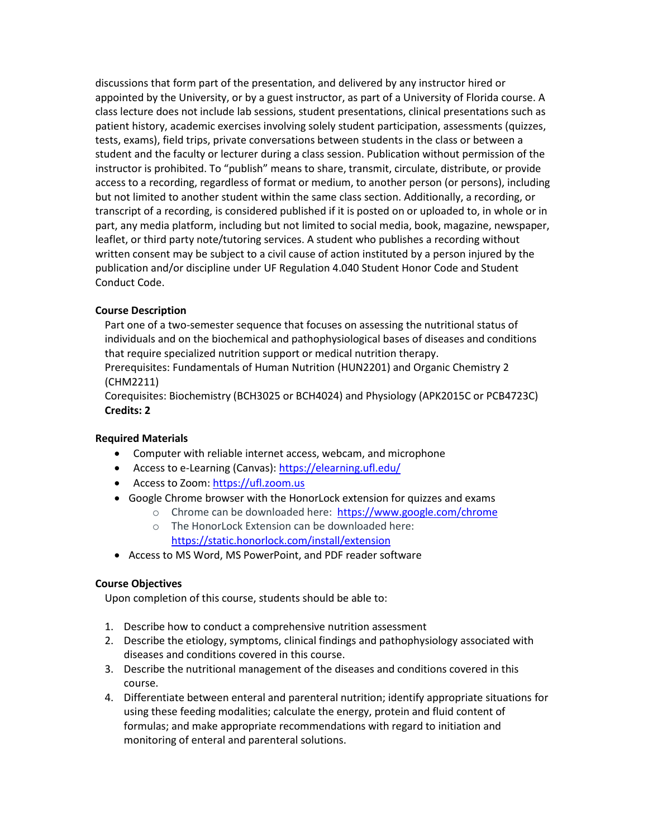discussions that form part of the presentation, and delivered by any instructor hired or appointed by the University, or by a guest instructor, as part of a University of Florida course. A class lecture does not include lab sessions, student presentations, clinical presentations such as patient history, academic exercises involving solely student participation, assessments (quizzes, tests, exams), field trips, private conversations between students in the class or between a student and the faculty or lecturer during a class session. Publication without permission of the instructor is prohibited. To "publish" means to share, transmit, circulate, distribute, or provide access to a recording, regardless of format or medium, to another person (or persons), including but not limited to another student within the same class section. Additionally, a recording, or transcript of a recording, is considered published if it is posted on or uploaded to, in whole or in part, any media platform, including but not limited to social media, book, magazine, newspaper, leaflet, or third party note/tutoring services. A student who publishes a recording without written consent may be subject to a civil cause of action instituted by a person injured by the publication and/or discipline under UF Regulation 4.040 Student Honor Code and Student Conduct Code.

## **Course Description**

Part one of a two-semester sequence that focuses on assessing the nutritional status of individuals and on the biochemical and pathophysiological bases of diseases and conditions that require specialized nutrition support or medical nutrition therapy. Prerequisites: Fundamentals of Human Nutrition (HUN2201) and Organic Chemistry 2 (CHM2211)

Corequisites: Biochemistry (BCH3025 or BCH4024) and Physiology (APK2015C or PCB4723C) **Credits: 2**

#### **Required Materials**

- Computer with reliable internet access, webcam, and microphone
- Access to e-Learning (Canvas)[: https://elearning.ufl.edu/](https://elearning.ufl.edu/)
- Access to Zoom: https://ufl.zoom.us
- Google Chrome browser with the HonorLock extension for quizzes and exams
	- o Chrome can be downloaded here: <https://www.google.com/chrome>
	- o The HonorLock Extension can be downloaded here: <https://static.honorlock.com/install/extension>
- Access to MS Word, MS PowerPoint, and PDF reader software

#### **Course Objectives**

Upon completion of this course, students should be able to:

- 1. Describe how to conduct a comprehensive nutrition assessment
- 2. Describe the etiology, symptoms, clinical findings and pathophysiology associated with diseases and conditions covered in this course.
- 3. Describe the nutritional management of the diseases and conditions covered in this course.
- 4. Differentiate between enteral and parenteral nutrition; identify appropriate situations for using these feeding modalities; calculate the energy, protein and fluid content of formulas; and make appropriate recommendations with regard to initiation and monitoring of enteral and parenteral solutions.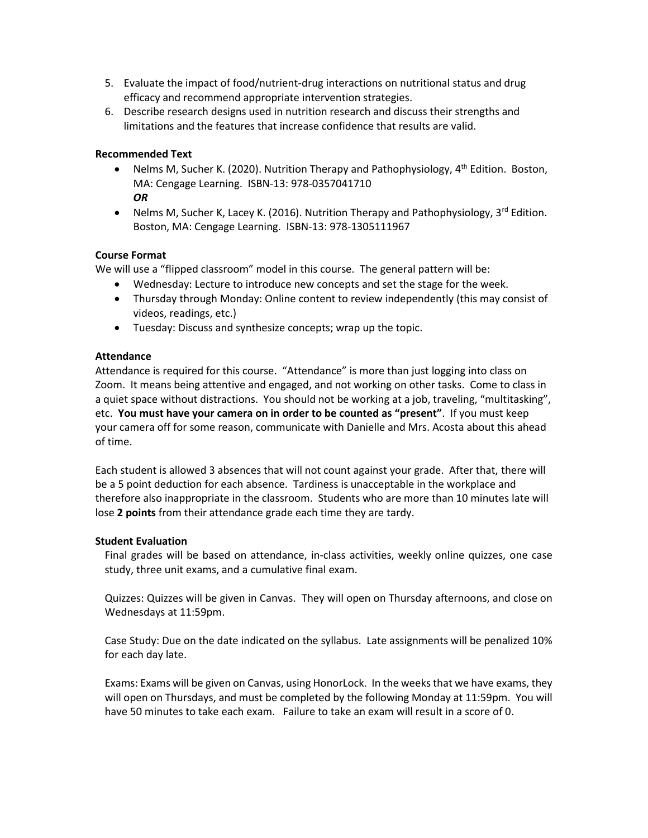- 5. Evaluate the impact of food/nutrient-drug interactions on nutritional status and drug efficacy and recommend appropriate intervention strategies.
- 6. Describe research designs used in nutrition research and discuss their strengths and limitations and the features that increase confidence that results are valid.

## **Recommended Text**

- Nelms M, Sucher K. (2020). Nutrition Therapy and Pathophysiology, 4<sup>th</sup> Edition. Boston, MA: Cengage Learning. ISBN-13: 978-0357041710 *OR*
- Nelms M, Sucher K, Lacey K. (2016). Nutrition Therapy and Pathophysiology,  $3^{\text{rd}}$  Edition. Boston, MA: Cengage Learning. ISBN-13: 978-1305111967

## **Course Format**

We will use a "flipped classroom" model in this course. The general pattern will be:

- Wednesday: Lecture to introduce new concepts and set the stage for the week.
- Thursday through Monday: Online content to review independently (this may consist of videos, readings, etc.)
- Tuesday: Discuss and synthesize concepts; wrap up the topic.

#### **Attendance**

Attendance is required for this course. "Attendance" is more than just logging into class on Zoom. It means being attentive and engaged, and not working on other tasks. Come to class in a quiet space without distractions. You should not be working at a job, traveling, "multitasking", etc. **You must have your camera on in order to be counted as "present"**. If you must keep your camera off for some reason, communicate with Danielle and Mrs. Acosta about this ahead of time.

Each student is allowed 3 absences that will not count against your grade. After that, there will be a 5 point deduction for each absence. Tardiness is unacceptable in the workplace and therefore also inappropriate in the classroom. Students who are more than 10 minutes late will lose **2 points** from their attendance grade each time they are tardy.

#### **Student Evaluation**

Final grades will be based on attendance, in-class activities, weekly online quizzes, one case study, three unit exams, and a cumulative final exam.

Quizzes: Quizzes will be given in Canvas. They will open on Thursday afternoons, and close on Wednesdays at 11:59pm.

Case Study: Due on the date indicated on the syllabus. Late assignments will be penalized 10% for each day late.

Exams: Exams will be given on Canvas, using HonorLock. In the weeks that we have exams, they will open on Thursdays, and must be completed by the following Monday at 11:59pm. You will have 50 minutes to take each exam. Failure to take an exam will result in a score of 0.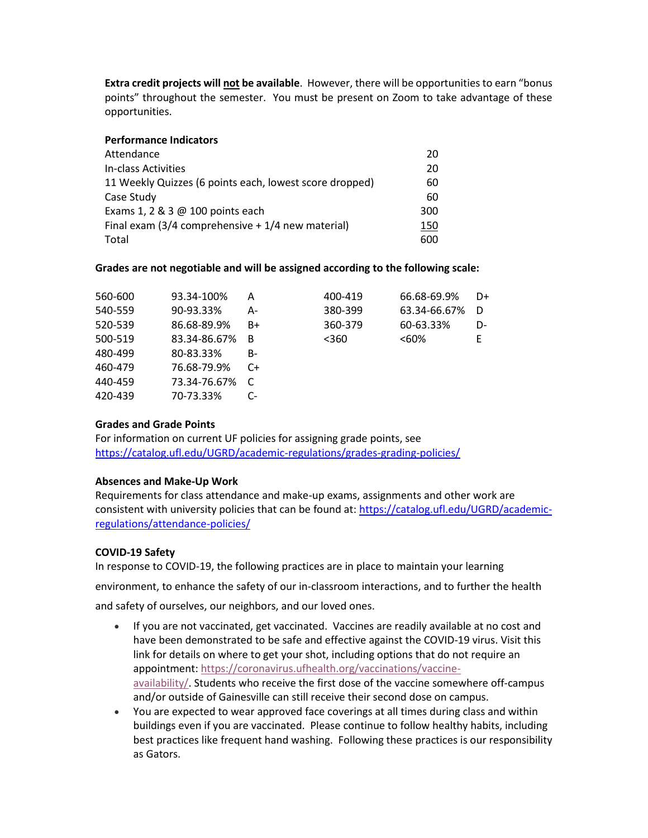**Extra credit projects will not be available**. However, there will be opportunities to earn "bonus points" throughout the semester. You must be present on Zoom to take advantage of these opportunities.

#### **Performance Indicators**

| Attendance                                              | 20  |
|---------------------------------------------------------|-----|
| In-class Activities                                     | 20  |
| 11 Weekly Quizzes (6 points each, lowest score dropped) | 60  |
| Case Study                                              | 60  |
| Exams 1, 2 & 3 @ 100 points each                        | 300 |
| Final exam $(3/4$ comprehensive $+1/4$ new material)    | 150 |
| Total                                                   | 600 |

#### **Grades are not negotiable and will be assigned according to the following scale:**

| 560-600 | 93.34-100%   | Α  | 400-419 | 66.68-69.9%  | D+ |
|---------|--------------|----|---------|--------------|----|
| 540-559 | 90-93.33%    | А- | 380-399 | 63.34-66.67% | D  |
| 520-539 | 86.68-89.9%  | B+ | 360-379 | 60-63.33%    | D- |
| 500-519 | 83.34-86.67% | B  | $360$   | <60%         | F  |
| 480-499 | 80-83.33%    | B- |         |              |    |
| 460-479 | 76.68-79.9%  | C+ |         |              |    |
| 440-459 | 73.34-76.67% |    |         |              |    |
| 420-439 | 70-73.33%    | C- |         |              |    |
|         |              |    |         |              |    |

#### **Grades and Grade Points**

For information on current UF policies for assigning grade points, see <https://catalog.ufl.edu/UGRD/academic-regulations/grades-grading-policies/>

#### **Absences and Make-Up Work**

Requirements for class attendance and make-up exams, assignments and other work are consistent with university policies that can be found at: [https://catalog.ufl.edu/UGRD/academic](https://catalog.ufl.edu/UGRD/academic-regulations/attendance-policies/)[regulations/attendance-policies/](https://catalog.ufl.edu/UGRD/academic-regulations/attendance-policies/)

#### **COVID-19 Safety**

In response to COVID-19, the following practices are in place to maintain your learning environment, to enhance the safety of our in-classroom interactions, and to further the health and safety of ourselves, our neighbors, and our loved ones.

- If you are not vaccinated, get vaccinated. Vaccines are readily available at no cost and have been demonstrated to be safe and effective against the COVID-19 virus. Visit this link for details on where to get your shot, including options that do not require an appointment: [https://coronavirus.ufhealth.org/vaccinations/vaccine](https://coronavirus.ufhealth.org/vaccinations/vaccine-availability/)[availability/.](https://coronavirus.ufhealth.org/vaccinations/vaccine-availability/) Students who receive the first dose of the vaccine somewhere off-campus and/or outside of Gainesville can still receive their second dose on campus.
- You are expected to wear approved face coverings at all times during class and within buildings even if you are vaccinated. Please continue to follow healthy habits, including best practices like frequent hand washing. Following these practices is our responsibility as Gators.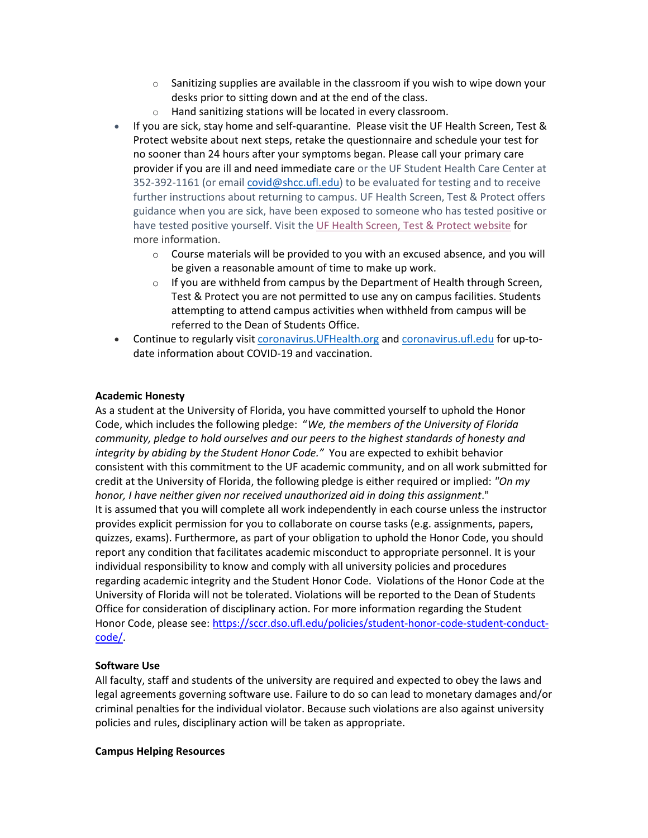- $\circ$  Sanitizing supplies are available in the classroom if you wish to wipe down your desks prior to sitting down and at the end of the class.
- o Hand sanitizing stations will be located in every classroom.
- If you are sick, stay home and self-quarantine. Please visit the UF Health Screen, Test & Protect website about next steps, retake the questionnaire and schedule your test for no sooner than 24 hours after your symptoms began. Please call your primary care provider if you are ill and need immediate care or the UF Student Health Care Center at 352-392-1161 (or email [covid@shcc.ufl.edu\)](mailto:covid@shcc.ufl.edu) to be evaluated for testing and to receive further instructions about returning to campus. UF Health Screen, Test & Protect offers guidance when you are sick, have been exposed to someone who has tested positive or have tested positive yourself. Visit the UF Health Screen, Test & Protect [website](https://click.info.gator360.ufl.edu/?qs=8f0d5e01a3f7385148f144e2089093522a358a8d85cb9db73c31675d3c5e5c0d27748d40c212f544822551342f1912ea5b4f2b890d5952e8) for more information.
	- $\circ$  Course materials will be provided to you with an excused absence, and you will be given a reasonable amount of time to make up work.
	- $\circ$  If you are withheld from campus by the Department of Health through Screen, Test & Protect you are not permitted to use any on campus facilities. Students attempting to attend campus activities when withheld from campus will be referred to the Dean of Students Office.
- Continue to regularly visit [coronavirus.UFHealth.org](http://coronavirus.ufhealth.org/) and [coronavirus.ufl.edu](http://coronavirus.ufl.edu/) for up-todate information about COVID-19 and vaccination.

#### **Academic Honesty**

As a student at the University of Florida, you have committed yourself to uphold the Honor Code, which includes the following pledge: "*We, the members of the University of Florida community, pledge to hold ourselves and our peers to the highest standards of honesty and integrity by abiding by the Student Honor Code."* You are expected to exhibit behavior consistent with this commitment to the UF academic community, and on all work submitted for credit at the University of Florida, the following pledge is either required or implied: *"On my honor, I have neither given nor received unauthorized aid in doing this assignment*." It is assumed that you will complete all work independently in each course unless the instructor provides explicit permission for you to collaborate on course tasks (e.g. assignments, papers, quizzes, exams). Furthermore, as part of your obligation to uphold the Honor Code, you should report any condition that facilitates academic misconduct to appropriate personnel. It is your individual responsibility to know and comply with all university policies and procedures regarding academic integrity and the Student Honor Code. Violations of the Honor Code at the University of Florida will not be tolerated. Violations will be reported to the Dean of Students Office for consideration of disciplinary action. For more information regarding the Student Honor Code, please see[: https://sccr.dso.ufl.edu/policies/student-honor-code-student-conduct](https://sccr.dso.ufl.edu/policies/student-honor-code-student-conduct-code/)[code/.](https://sccr.dso.ufl.edu/policies/student-honor-code-student-conduct-code/)

#### **Software Use**

All faculty, staff and students of the university are required and expected to obey the laws and legal agreements governing software use. Failure to do so can lead to monetary damages and/or criminal penalties for the individual violator. Because such violations are also against university policies and rules, disciplinary action will be taken as appropriate.

#### **Campus Helping Resources**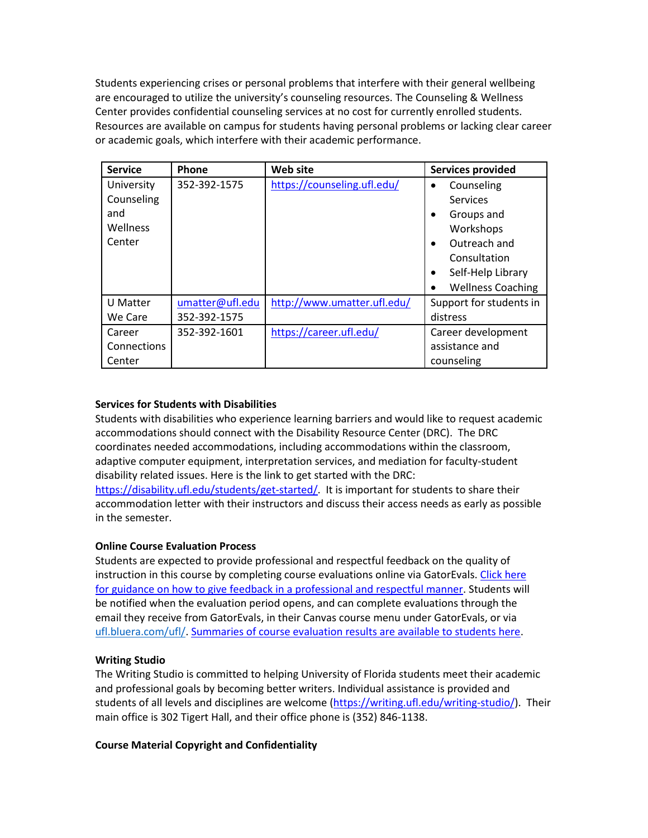Students experiencing crises or personal problems that interfere with their general wellbeing are encouraged to utilize the university's counseling resources. The Counseling & Wellness Center provides confidential counseling services at no cost for currently enrolled students. Resources are available on campus for students having personal problems or lacking clear career or academic goals, which interfere with their academic performance.

| <b>Service</b>     | Phone           | Web site                    | <b>Services provided</b>       |
|--------------------|-----------------|-----------------------------|--------------------------------|
| University         | 352-392-1575    | https://counseling.ufl.edu/ | Counseling<br>$\bullet$        |
| Counseling         |                 |                             | Services                       |
| and                |                 |                             | Groups and<br>$\bullet$        |
| Wellness           |                 |                             | Workshops                      |
| Center             |                 |                             | Outreach and<br>$\bullet$      |
|                    |                 |                             | Consultation                   |
|                    |                 |                             | Self-Help Library<br>$\bullet$ |
|                    |                 |                             | <b>Wellness Coaching</b><br>٠  |
| U Matter           | umatter@ufl.edu | http://www.umatter.ufl.edu/ | Support for students in        |
| We Care            | 352-392-1575    |                             | distress                       |
| Career             | 352-392-1601    | https://career.ufl.edu/     | Career development             |
| <b>Connections</b> |                 |                             | assistance and                 |
| Center             |                 |                             | counseling                     |

#### **Services for Students with Disabilities**

Students with disabilities who experience learning barriers and would like to request academic accommodations should connect with the Disability Resource Center (DRC). The DRC coordinates needed accommodations, including accommodations within the classroom, adaptive computer equipment, interpretation services, and mediation for faculty-student disability related issues. Here is the link to get started with the DRC: [https://disability.ufl.edu/students/get-started/.](https://disability.ufl.edu/students/get-started/) It is important for students to share their accommodation letter with their instructors and discuss their access needs as early as possible in the semester.

#### **Online Course Evaluation Process**

Students are expected to provide professional and respectful feedback on the quality of instruction in this course by completing course evaluations online via GatorEvals[. Click here](file:///C:/Users/lilyrlewis/AppData/Local/Microsoft/Windows/INetCache/Content.Outlook/LU96BFUU/gatorevals.aa.ufl.edu/students/)  [for guidance on how to give feedback in a professional and respectful manner.](file:///C:/Users/lilyrlewis/AppData/Local/Microsoft/Windows/INetCache/Content.Outlook/LU96BFUU/gatorevals.aa.ufl.edu/students/) Students will be notified when the evaluation period opens, and can complete evaluations through the email they receive from GatorEvals, in their Canvas course menu under GatorEvals, or via [ufl.bluera.com/ufl/.](https://ufl.bluera.com/ufl/) [Summaries of course evaluation results are available to students here.](https://gatorevals.aa.ufl.edu/public-results/)

#### **Writing Studio**

The Writing Studio is committed to helping University of Florida students meet their academic and professional goals by becoming better writers. Individual assistance is provided and students of all levels and disciplines are welcome [\(https://writing.ufl.edu/writing-studio/\)](https://writing.ufl.edu/writing-studio/). Their main office is 302 Tigert Hall, and their office phone is (352) 846-1138.

#### **Course Material Copyright and Confidentiality**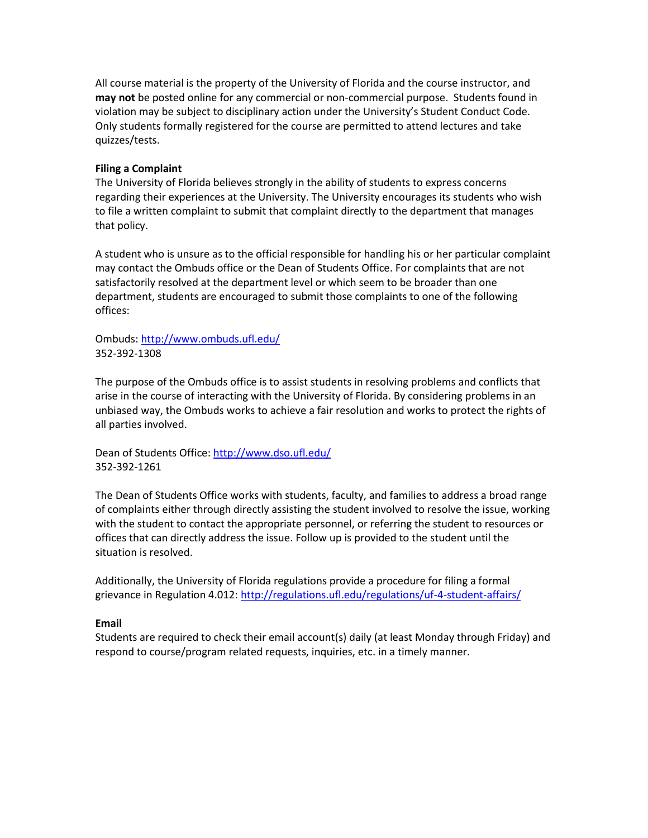All course material is the property of the University of Florida and the course instructor, and **may not** be posted online for any commercial or non-commercial purpose. Students found in violation may be subject to disciplinary action under the University's Student Conduct Code. Only students formally registered for the course are permitted to attend lectures and take quizzes/tests.

#### **Filing a Complaint**

The University of Florida believes strongly in the ability of students to express concerns regarding their experiences at the University. The University encourages its students who wish to file a written complaint to submit that complaint directly to the department that manages that policy.

A student who is unsure as to the official responsible for handling his or her particular complaint may contact the Ombuds office or the Dean of Students Office. For complaints that are not satisfactorily resolved at the department level or which seem to be broader than one department, students are encouraged to submit those complaints to one of the following offices:

Ombuds:<http://www.ombuds.ufl.edu/> 352-392-1308

The purpose of the Ombuds office is to assist students in resolving problems and conflicts that arise in the course of interacting with the University of Florida. By considering problems in an unbiased way, the Ombuds works to achieve a fair resolution and works to protect the rights of all parties involved.

Dean of Students Office[: http://www.dso.ufl.edu/](http://www.dso.ufl.edu/) 352-392-1261

The Dean of Students Office works with students, faculty, and families to address a broad range of complaints either through directly assisting the student involved to resolve the issue, working with the student to contact the appropriate personnel, or referring the student to resources or offices that can directly address the issue. Follow up is provided to the student until the situation is resolved.

Additionally, the University of Florida regulations provide a procedure for filing a formal grievance in Regulation 4.012:<http://regulations.ufl.edu/regulations/uf-4-student-affairs/>

#### **Email**

Students are required to check their email account(s) daily (at least Monday through Friday) and respond to course/program related requests, inquiries, etc. in a timely manner.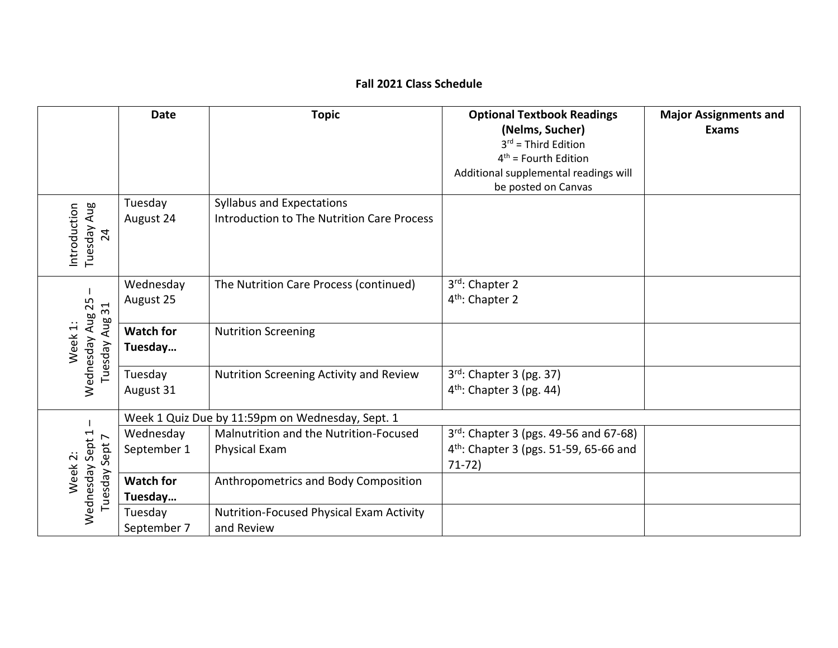# **Fall 2021 Class Schedule**

|                                            | <b>Date</b>                 | <b>Topic</b>                                                                   | <b>Optional Textbook Readings</b><br>(Nelms, Sucher)<br>$3^{rd}$ = Third Edition<br>$4th$ = Fourth Edition<br>Additional supplemental readings will | <b>Major Assignments and</b><br><b>Exams</b> |
|--------------------------------------------|-----------------------------|--------------------------------------------------------------------------------|-----------------------------------------------------------------------------------------------------------------------------------------------------|----------------------------------------------|
| Tuesday Aug<br>Introduction<br>24          | Tuesday<br>August 24        | <b>Syllabus and Expectations</b><br>Introduction to The Nutrition Care Process | be posted on Canvas                                                                                                                                 |                                              |
| 31                                         | Wednesday<br>August 25      | The Nutrition Care Process (continued)                                         | 3rd: Chapter 2<br>4 <sup>th</sup> : Chapter 2                                                                                                       |                                              |
| Wednesday Aug 25<br>Tuesday Aug<br>Week 1: | <b>Watch for</b><br>Tuesday | <b>Nutrition Screening</b>                                                     |                                                                                                                                                     |                                              |
|                                            | Tuesday<br>August 31        | Nutrition Screening Activity and Review                                        | $3^{rd}$ : Chapter 3 (pg. 37)<br>4 <sup>th</sup> : Chapter 3 (pg. 44)                                                                               |                                              |
|                                            |                             | Week 1 Quiz Due by 11:59pm on Wednesday, Sept. 1                               |                                                                                                                                                     |                                              |
| Wednesday Sept 1<br>Sept 7                 | Wednesday<br>September 1    | Malnutrition and the Nutrition-Focused<br><b>Physical Exam</b>                 | $3^{rd}$ : Chapter 3 (pgs. 49-56 and 67-68)<br>4 <sup>th</sup> : Chapter 3 (pgs. 51-59, 65-66 and<br>$71-72)$                                       |                                              |
| Week 2:<br>Tuesday                         | <b>Watch for</b><br>Tuesday | Anthropometrics and Body Composition                                           |                                                                                                                                                     |                                              |
|                                            | Tuesday<br>September 7      | <b>Nutrition-Focused Physical Exam Activity</b><br>and Review                  |                                                                                                                                                     |                                              |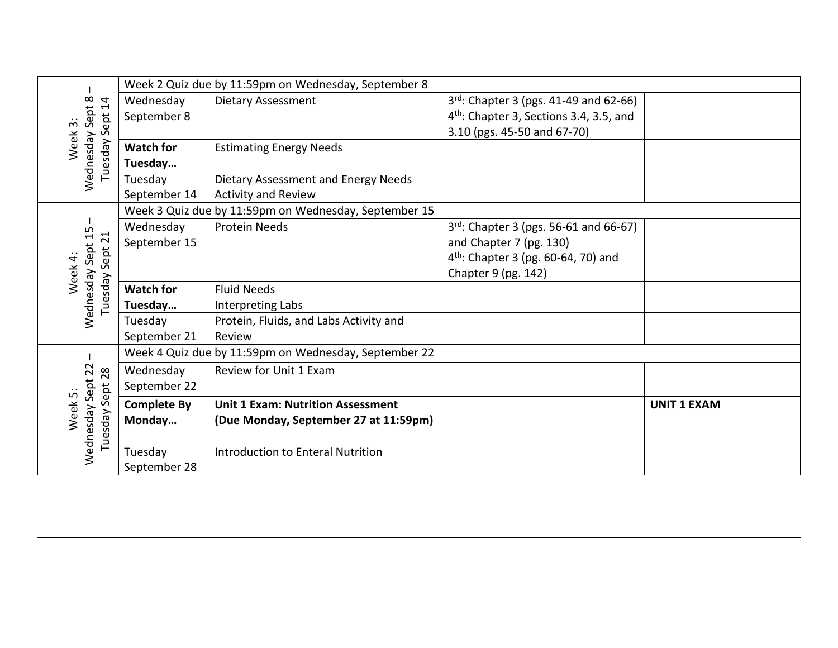|                                              |                    | Week 2 Quiz due by 11:59pm on Wednesday, September 8  |                                                     |                    |
|----------------------------------------------|--------------------|-------------------------------------------------------|-----------------------------------------------------|--------------------|
| Wednesday Sept 8<br>$\overline{1}$           | Wednesday          | <b>Dietary Assessment</b>                             | $3^{rd}$ : Chapter 3 (pgs. 41-49 and 62-66)         |                    |
|                                              | September 8        |                                                       | 4 <sup>th</sup> : Chapter 3, Sections 3.4, 3.5, and |                    |
| Sept :                                       |                    |                                                       | 3.10 (pgs. 45-50 and 67-70)                         |                    |
| Week 3:<br>Tuesday                           | <b>Watch for</b>   | <b>Estimating Energy Needs</b>                        |                                                     |                    |
|                                              | Tuesday            |                                                       |                                                     |                    |
|                                              | Tuesday            | Dietary Assessment and Energy Needs                   |                                                     |                    |
|                                              | September 14       | <b>Activity and Review</b>                            |                                                     |                    |
|                                              |                    | Week 3 Quiz due by 11:59pm on Wednesday, September 15 |                                                     |                    |
|                                              | Wednesday          | <b>Protein Needs</b>                                  | $3^{rd}$ : Chapter 3 (pgs. 56-61 and 66-67)         |                    |
| $\overline{21}$                              | September 15       |                                                       | and Chapter 7 (pg. 130)                             |                    |
| Sept.                                        |                    |                                                       | $4th$ : Chapter 3 (pg. 60-64, 70) and               |                    |
| Wednesday Sept 15<br>Week 4:                 |                    |                                                       | Chapter 9 (pg. 142)                                 |                    |
| esday                                        | <b>Watch for</b>   | <b>Fluid Needs</b>                                    |                                                     |                    |
|                                              | Tuesday            | Interpreting Labs                                     |                                                     |                    |
|                                              | Tuesday            | Protein, Fluids, and Labs Activity and                |                                                     |                    |
|                                              | September 21       | Review                                                |                                                     |                    |
|                                              |                    | Week 4 Quiz due by 11:59pm on Wednesday, September 22 |                                                     |                    |
| 22<br>28                                     | Wednesday          | Review for Unit 1 Exam                                |                                                     |                    |
| Wednesday Sept<br>Sept<br>Week 5:<br>Tuesday | September 22       |                                                       |                                                     |                    |
|                                              | <b>Complete By</b> | <b>Unit 1 Exam: Nutrition Assessment</b>              |                                                     | <b>UNIT 1 EXAM</b> |
|                                              | Monday             | (Due Monday, September 27 at 11:59pm)                 |                                                     |                    |
|                                              |                    |                                                       |                                                     |                    |
|                                              | Tuesday            | Introduction to Enteral Nutrition                     |                                                     |                    |
|                                              | September 28       |                                                       |                                                     |                    |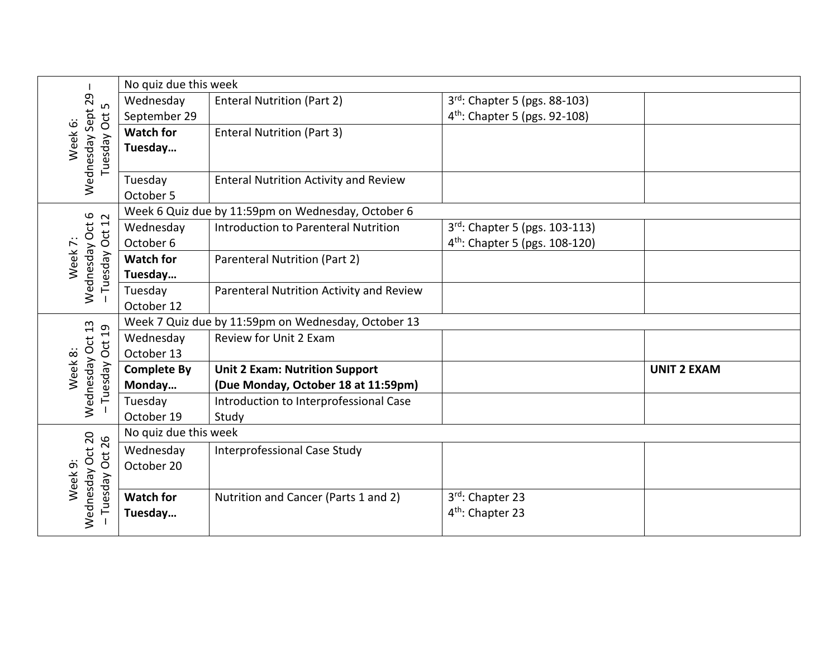|                                           | No quiz due this week |                                                     |                                            |                    |
|-------------------------------------------|-----------------------|-----------------------------------------------------|--------------------------------------------|--------------------|
| 29<br>ம                                   | Wednesday             | <b>Enteral Nutrition (Part 2)</b>                   | 3rd: Chapter 5 (pgs. 88-103)               |                    |
|                                           | September 29          |                                                     | 4 <sup>th</sup> : Chapter 5 (pgs. 92-108)  |                    |
|                                           | <b>Watch for</b>      | <b>Enteral Nutrition (Part 3)</b>                   |                                            |                    |
| Wednesday Sept<br>Tuesday Oct<br>Week 6:  | Tuesday               |                                                     |                                            |                    |
|                                           |                       |                                                     |                                            |                    |
|                                           | Tuesday               | <b>Enteral Nutrition Activity and Review</b>        |                                            |                    |
|                                           | October 5             |                                                     |                                            |                    |
| 12                                        |                       | Week 6 Quiz due by 11:59pm on Wednesday, October 6  |                                            |                    |
|                                           | Wednesday             | Introduction to Parenteral Nutrition                | 3rd: Chapter 5 (pgs. 103-113)              |                    |
| Oct:                                      | October 6             |                                                     | 4 <sup>th</sup> : Chapter 5 (pgs. 108-120) |                    |
| Week 7:                                   | <b>Watch for</b>      | <b>Parenteral Nutrition (Part 2)</b>                |                                            |                    |
| Wednesday Oct 6<br>Tuesday                | Tuesday               |                                                     |                                            |                    |
|                                           | Tuesday               | Parenteral Nutrition Activity and Review            |                                            |                    |
|                                           | October 12            |                                                     |                                            |                    |
| $\overline{c}$                            |                       | Week 7 Quiz due by 11:59pm on Wednesday, October 13 |                                            |                    |
|                                           | Wednesday             | Review for Unit 2 Exam                              |                                            |                    |
| Wednesday Oct 13<br><b>Oct</b><br>Week 8: | October 13            |                                                     |                                            |                    |
|                                           | <b>Complete By</b>    | <b>Unit 2 Exam: Nutrition Support</b>               |                                            | <b>UNIT 2 EXAM</b> |
| Tuesday                                   | Monday                | (Due Monday, October 18 at 11:59pm)                 |                                            |                    |
|                                           | Tuesday               | Introduction to Interprofessional Case              |                                            |                    |
|                                           | October 19            | Study                                               |                                            |                    |
|                                           | No quiz due this week |                                                     |                                            |                    |
| Oct 26                                    | Wednesday             | Interprofessional Case Study                        |                                            |                    |
|                                           | October 20            |                                                     |                                            |                    |
| Wednesday Oct 20<br>Week 9:<br>Tuesday    |                       |                                                     |                                            |                    |
|                                           | <b>Watch for</b>      | Nutrition and Cancer (Parts 1 and 2)                | 3rd: Chapter 23                            |                    |
|                                           | Tuesday               |                                                     | 4 <sup>th</sup> : Chapter 23               |                    |
|                                           |                       |                                                     |                                            |                    |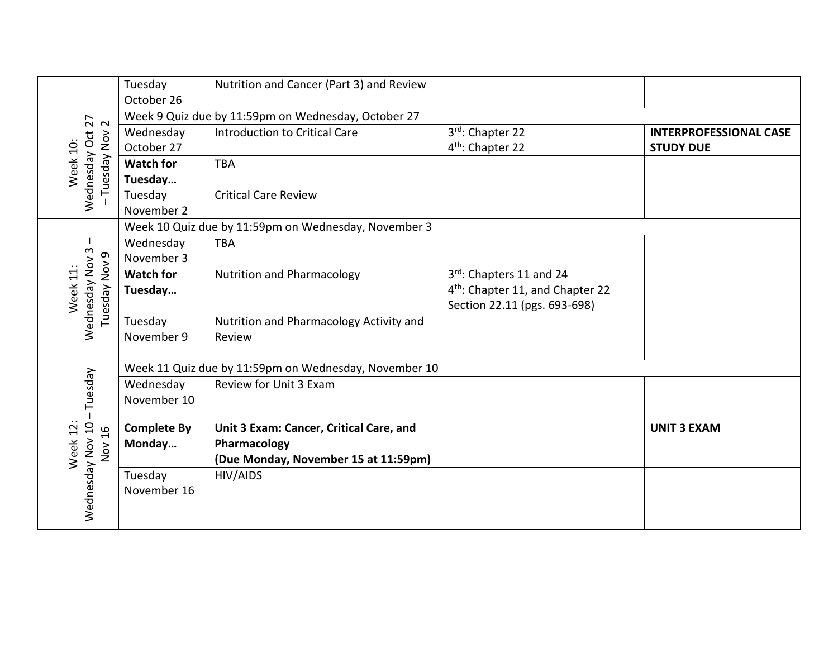|                                                              | Tuesday<br>October 26   | Nutrition and Cancer (Part 3) and Review              |                                                 |                                                   |  |  |
|--------------------------------------------------------------|-------------------------|-------------------------------------------------------|-------------------------------------------------|---------------------------------------------------|--|--|
| $\frac{27}{2}$                                               |                         | Week 9 Quiz due by 11:59pm on Wednesday, October 27   |                                                 |                                                   |  |  |
| Wednesday Oct<br>$\overset{\sim}{\mathsf{Now}}$<br>Week 10:  | Wednesday<br>October 27 | <b>Introduction to Critical Care</b>                  | 3rd: Chapter 22<br>4 <sup>th</sup> : Chapter 22 | <b>INTERPROFESSIONAL CASE</b><br><b>STUDY DUE</b> |  |  |
|                                                              | <b>Watch for</b>        | <b>TBA</b>                                            |                                                 |                                                   |  |  |
| Tuesday                                                      | Tuesday                 |                                                       |                                                 |                                                   |  |  |
|                                                              | Tuesday                 | <b>Critical Care Review</b>                           |                                                 |                                                   |  |  |
|                                                              | November 2              |                                                       |                                                 |                                                   |  |  |
|                                                              |                         | Week 10 Quiz due by 11:59pm on Wednesday, November 3  |                                                 |                                                   |  |  |
| S                                                            | Wednesday               | <b>TBA</b>                                            |                                                 |                                                   |  |  |
| თ,                                                           | November 3              |                                                       |                                                 |                                                   |  |  |
| Wednesday Nov<br>Tuesday Nov<br>Week 11:                     | <b>Watch for</b>        | <b>Nutrition and Pharmacology</b>                     | 3rd: Chapters 11 and 24                         |                                                   |  |  |
|                                                              | Tuesday                 |                                                       | 4 <sup>th</sup> : Chapter 11, and Chapter 22    |                                                   |  |  |
|                                                              |                         |                                                       | Section 22.11 (pgs. 693-698)                    |                                                   |  |  |
|                                                              | Tuesday                 | Nutrition and Pharmacology Activity and               |                                                 |                                                   |  |  |
|                                                              | November 9              | Review                                                |                                                 |                                                   |  |  |
|                                                              |                         |                                                       |                                                 |                                                   |  |  |
|                                                              |                         | Week 11 Quiz due by 11:59pm on Wednesday, November 10 |                                                 |                                                   |  |  |
|                                                              | Wednesday               | Review for Unit 3 Exam                                |                                                 |                                                   |  |  |
| Tuesday                                                      | November 10             |                                                       |                                                 |                                                   |  |  |
|                                                              |                         |                                                       |                                                 |                                                   |  |  |
| Week 12:<br>16<br>$\overset{\textstyle\sim}{\textstyle\sim}$ | <b>Complete By</b>      | Unit 3 Exam: Cancer, Critical Care, and               |                                                 | <b>UNIT 3 EXAM</b>                                |  |  |
|                                                              | Monday                  | Pharmacology                                          |                                                 |                                                   |  |  |
|                                                              |                         | (Due Monday, November 15 at 11:59pm)                  |                                                 |                                                   |  |  |
|                                                              |                         |                                                       |                                                 |                                                   |  |  |
|                                                              |                         |                                                       |                                                 |                                                   |  |  |
|                                                              |                         |                                                       |                                                 |                                                   |  |  |
| Wednesday Nov 10                                             | Tuesday<br>November 16  | HIV/AIDS                                              |                                                 |                                                   |  |  |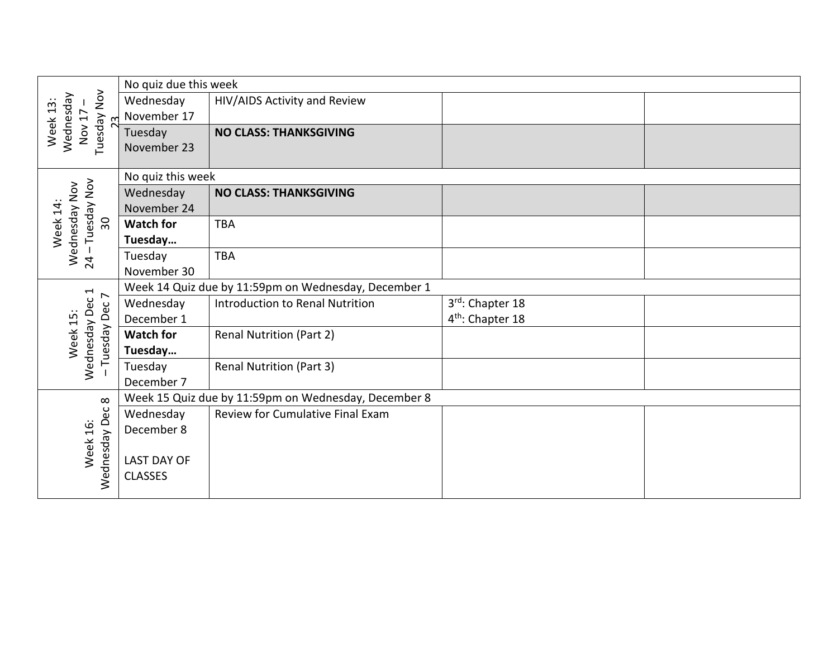|                                                      | No quiz due this week                                |                                                      |                              |  |
|------------------------------------------------------|------------------------------------------------------|------------------------------------------------------|------------------------------|--|
| Tuesday Nov<br>Wednesday<br>Week 13:<br>Nov 17<br>23 | Wednesday                                            | HIV/AIDS Activity and Review                         |                              |  |
|                                                      | November 17                                          |                                                      |                              |  |
|                                                      | Tuesday                                              | <b>NO CLASS: THANKSGIVING</b>                        |                              |  |
|                                                      | November 23                                          |                                                      |                              |  |
|                                                      |                                                      |                                                      |                              |  |
|                                                      | No quiz this week                                    |                                                      |                              |  |
|                                                      | Wednesday                                            | <b>NO CLASS: THANKSGIVING</b>                        |                              |  |
|                                                      | November 24                                          |                                                      |                              |  |
| Tuesday Nov<br>Wednesday Nov<br>Week 14:<br>30       | <b>Watch for</b>                                     | <b>TBA</b>                                           |                              |  |
|                                                      | Tuesday                                              |                                                      |                              |  |
| 24                                                   | Tuesday                                              | <b>TBA</b>                                           |                              |  |
|                                                      | November 30                                          |                                                      |                              |  |
| $\overline{\phantom{0}}$<br>$\overline{\phantom{a}}$ | Week 14 Quiz due by 11:59pm on Wednesday, December 1 |                                                      |                              |  |
| Wednesday Dec                                        | Wednesday                                            | Introduction to Renal Nutrition                      | 3rd: Chapter 18              |  |
|                                                      | December 1                                           |                                                      | 4 <sup>th</sup> : Chapter 18 |  |
| Tuesday Dec<br>Week 15:                              | <b>Watch for</b>                                     | <b>Renal Nutrition (Part 2)</b>                      |                              |  |
|                                                      | Tuesday                                              |                                                      |                              |  |
|                                                      | Tuesday                                              | <b>Renal Nutrition (Part 3)</b>                      |                              |  |
|                                                      | December 7                                           |                                                      |                              |  |
| $\infty$                                             |                                                      | Week 15 Quiz due by 11:59pm on Wednesday, December 8 |                              |  |
|                                                      | Wednesday                                            | Review for Cumulative Final Exam                     |                              |  |
|                                                      | December 8                                           |                                                      |                              |  |
| Wednesday Dec<br>Week 16:                            |                                                      |                                                      |                              |  |
|                                                      | <b>LAST DAY OF</b>                                   |                                                      |                              |  |
|                                                      | <b>CLASSES</b>                                       |                                                      |                              |  |
|                                                      |                                                      |                                                      |                              |  |